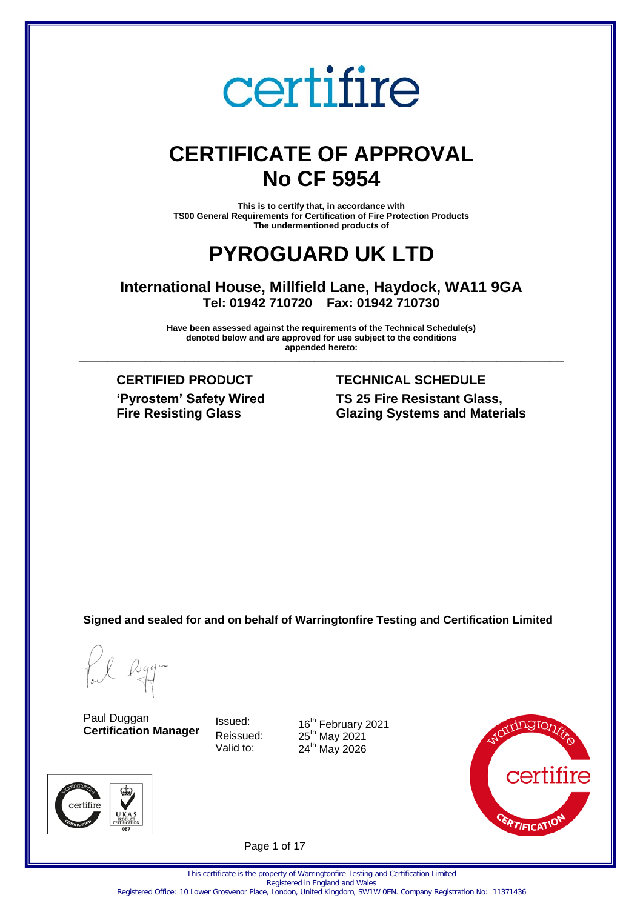## **CERTIFICATE OF APPROVAL No CF 5954**

**This is to certify that, in accordance with TS00 General Requirements for Certification of Fire Protection Products The undermentioned products of** 

### **PYROGUARD UK LTD**

**International House, Millfield Lane, Haydock, WA11 9GA Tel: 01942 710720 Fax: 01942 710730** 

**Have been assessed against the requirements of the Technical Schedule(s) denoted below and are approved for use subject to the conditions appended hereto: \_\_\_\_\_\_\_\_\_\_\_\_\_\_\_\_\_\_\_\_\_\_\_\_\_\_\_\_\_\_\_\_\_\_\_\_\_\_\_\_\_\_\_\_\_\_\_\_\_\_\_\_\_\_\_\_\_\_\_\_\_\_\_\_\_\_\_\_\_\_\_\_\_\_\_\_\_\_\_\_\_\_\_\_\_\_\_\_\_\_\_\_\_\_\_\_\_\_\_\_\_**

**'Pyrostem' Safety Wired Fire Resisting Glass**

### **CERTIFIED PRODUCT TECHNICAL SCHEDULE TS 25 Fire Resistant Glass, Glazing Systems and Materials**

**Signed and sealed for and on behalf of Warringtonfire Testing and Certification Limited** 

certifire

Paul Duggan **Certification Manager**

Issued: 16<sup>th</sup> February 2021 Reissued:  $25<sup>th</sup>$  May 2021 Valid to:  $24<sup>th</sup>$  May 2026



Page 1 of 17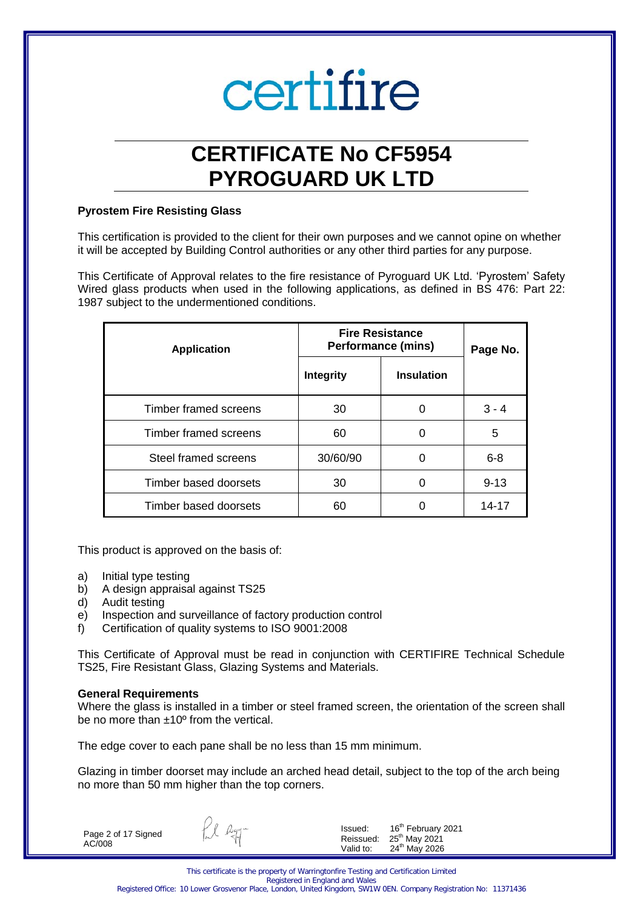## **CERTIFICATE No CF5954 PYROGUARD UK LTD**

### **Pyrostem Fire Resisting Glass**

This certification is provided to the client for their own purposes and we cannot opine on whether it will be accepted by Building Control authorities or any other third parties for any purpose.

This Certificate of Approval relates to the fire resistance of Pyroguard UK Ltd. 'Pyrostem' Safety Wired glass products when used in the following applications, as defined in BS 476: Part 22: 1987 subject to the undermentioned conditions.

| <b>Application</b>           | <b>Fire Resistance</b><br><b>Performance (mins)</b> |                   | Page No. |
|------------------------------|-----------------------------------------------------|-------------------|----------|
|                              | <b>Integrity</b>                                    | <b>Insulation</b> |          |
| <b>Timber framed screens</b> | 30                                                  | 0                 | $3 - 4$  |
| Timber framed screens        | 60                                                  | 0                 | 5        |
| Steel framed screens         | 30/60/90                                            | 0                 | $6 - 8$  |
| Timber based doorsets        | 30                                                  | 0                 | $9 - 13$ |
| Timber based doorsets        | 60                                                  |                   | 14-17    |

This product is approved on the basis of:

- a) Initial type testing
- b) A design appraisal against TS25
- d) Audit testing
- e) Inspection and surveillance of factory production control
- f) Certification of quality systems to ISO 9001:2008

This Certificate of Approval must be read in conjunction with CERTIFIRE Technical Schedule TS25, Fire Resistant Glass, Glazing Systems and Materials.

### **General Requirements**

Where the glass is installed in a timber or steel framed screen, the orientation of the screen shall be no more than ±10º from the vertical.

The edge cover to each pane shall be no less than 15 mm minimum.

Glazing in timber doorset may include an arched head detail, subject to the top of the arch being no more than 50 mm higher than the top corners.

Page 2 of 17 Signed AC/008

fil agg-

Issued: 16<sup>th</sup> February 2021  $Reissued: 25<sup>th</sup>$  May 2021 Valid to: 24<sup>th</sup> May 2026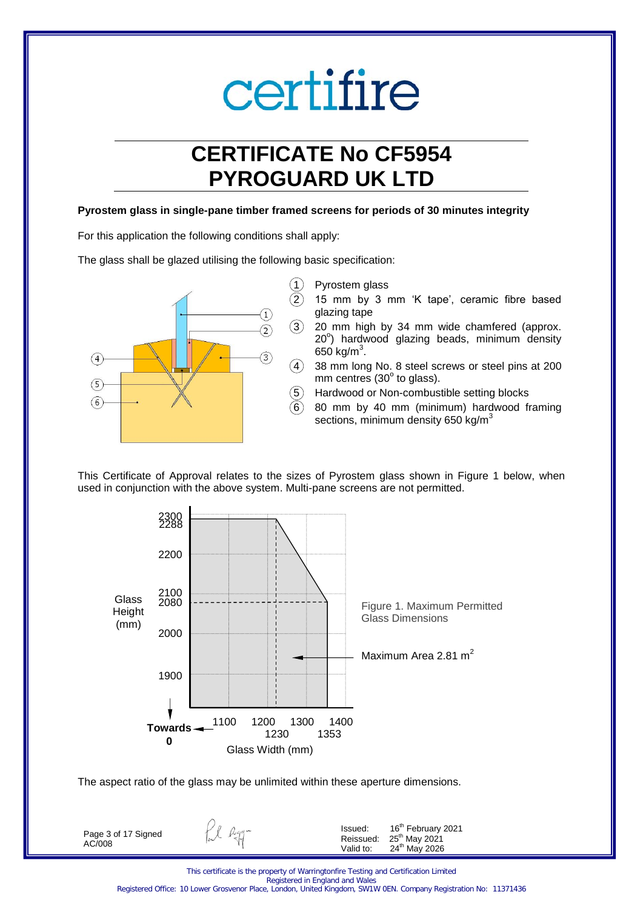## **CERTIFICATE No CF5954 PYROGUARD UK LTD**

### **Pyrostem glass in single-pane timber framed screens for periods of 30 minutes integrity**

For this application the following conditions shall apply:

The glass shall be glazed utilising the following basic specification:



- (1) Pyrostem glass
	- 2 15 mm by 3 mm 'K tape', ceramic fibre based glazing tape
	- 20 mm high by 34 mm wide chamfered (approx. 20°) hardwood glazing beads, minimum density 650 kg/m $^3$ .
	- 38 mm long No. 8 steel screws or steel pins at 200  $mm$  centres (30 $^{\circ}$  to glass).
	- 5 Hardwood or Non-combustible setting blocks
	- 6 80 mm by 40 mm (minimum) hardwood framing sections, minimum density  $650$  kg/m<sup>3</sup>

This Certificate of Approval relates to the sizes of Pyrostem glass shown in Figure 1 below, when used in conjunction with the above system. Multi-pane screens are not permitted.



The aspect ratio of the glass may be unlimited within these aperture dimensions.

Page 3 of 17 Signed AC/008

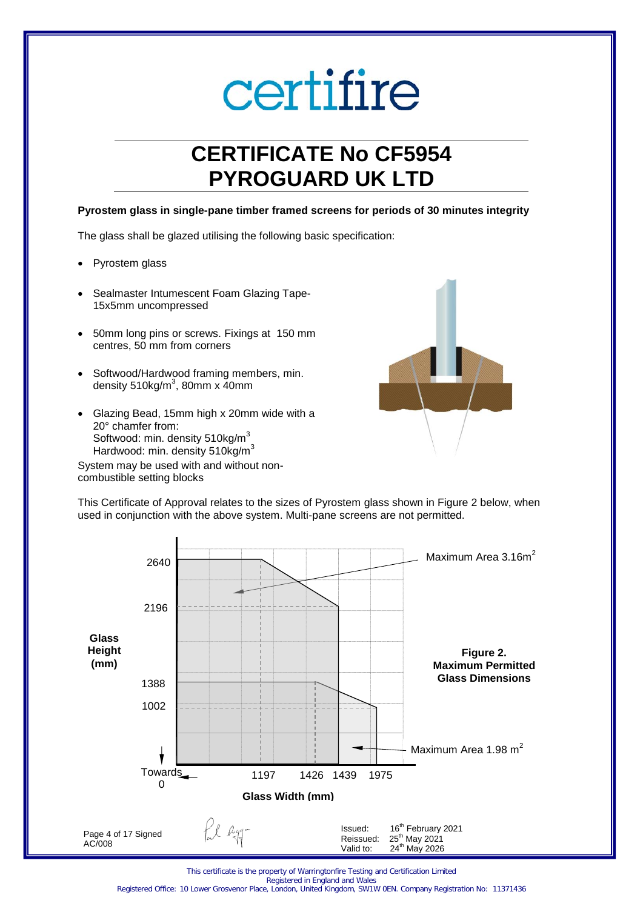## **CERTIFICATE No CF5954 PYROGUARD UK LTD**

### **Pyrostem glass in single-pane timber framed screens for periods of 30 minutes integrity**

The glass shall be glazed utilising the following basic specification:

- Pyrostem glass
- Sealmaster Intumescent Foam Glazing Tape-15x5mm uncompressed
- 50mm long pins or screws. Fixings at 150 mm centres, 50 mm from corners
- Softwood/Hardwood framing members, min. density 510kg/m $3$ , 80mm x 40mm
- Glazing Bead, 15mm high x 20mm wide with a 20° chamfer from: Softwood: min. density 510kg/m<sup>3</sup> Hardwood: min. density 510kg/m<sup>3</sup>

System may be used with and without noncombustible setting blocks



This Certificate of Approval relates to the sizes of Pyrostem glass shown in Figure 2 below, when used in conjunction with the above system. Multi-pane screens are not permitted.



This certificate is the property of Warringtonfire Testing and Certification Limited Registered in England and Wales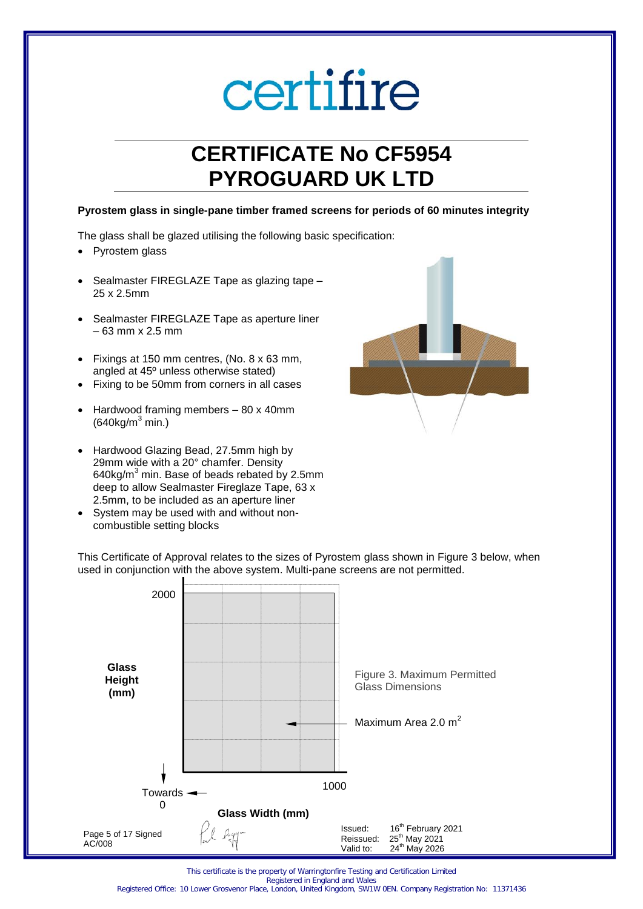## **CERTIFICATE No CF5954 PYROGUARD UK LTD**

#### **Pyrostem glass in single-pane timber framed screens for periods of 60 minutes integrity**

The glass shall be glazed utilising the following basic specification:

- Pyrostem glass
- Sealmaster FIREGLAZE Tape as glazing tape 25 x 2.5mm
- Sealmaster FIREGLAZE Tape as aperture liner – 63 mm x 2.5 mm
- Fixings at 150 mm centres, (No. 8 x 63 mm, angled at 45º unless otherwise stated)
- Fixing to be 50mm from corners in all cases
- Hardwood framing members 80 x 40mm  $(640kg/m<sup>3</sup> min.)$
- Hardwood Glazing Bead, 27.5mm high by 29mm wide with a 20° chamfer. Density 640 $kg/m<sup>3</sup>$  min. Base of beads rebated by 2.5mm deep to allow Sealmaster Fireglaze Tape, 63 x 2.5mm, to be included as an aperture liner
- System may be used with and without noncombustible setting blocks



This Certificate of Approval relates to the sizes of Pyrostem glass shown in Figure 3 below, when used in conjunction with the above system. Multi-pane screens are not permitted.



This certificate is the property of Warringtonfire Testing and Certification Limited Registered in England and Wales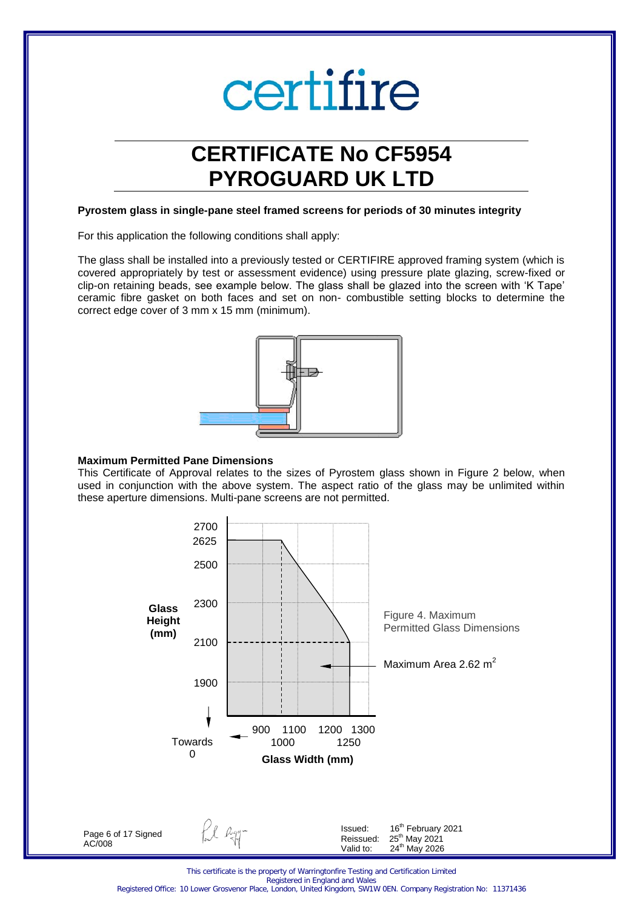## **CERTIFICATE No CF5954 PYROGUARD UK LTD**

#### **Pyrostem glass in single-pane steel framed screens for periods of 30 minutes integrity**

For this application the following conditions shall apply:

The glass shall be installed into a previously tested or CERTIFIRE approved framing system (which is covered appropriately by test or assessment evidence) using pressure plate glazing, screw-fixed or clip-on retaining beads, see example below. The glass shall be glazed into the screen with 'K Tape' ceramic fibre gasket on both faces and set on non- combustible setting blocks to determine the correct edge cover of 3 mm x 15 mm (minimum).



#### **Maximum Permitted Pane Dimensions**

This Certificate of Approval relates to the sizes of Pyrostem glass shown in Figure 2 below, when used in conjunction with the above system. The aspect ratio of the glass may be unlimited within these aperture dimensions. Multi-pane screens are not permitted.

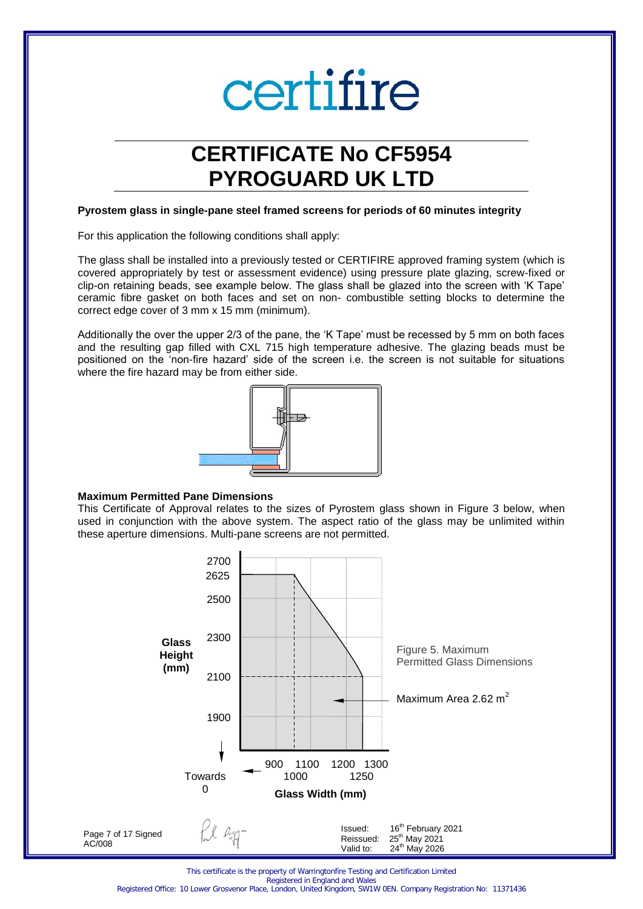## **CERTIFICATE No CF5954 PYROGUARD UK LTD**

#### **Pyrostem glass in single-pane steel framed screens for periods of 60 minutes integrity**

For this application the following conditions shall apply:

The glass shall be installed into a previously tested or CERTIFIRE approved framing system (which is covered appropriately by test or assessment evidence) using pressure plate glazing, screw-fixed or clip-on retaining beads, see example below. The glass shall be glazed into the screen with 'K Tape' ceramic fibre gasket on both faces and set on non- combustible setting blocks to determine the correct edge cover of 3 mm x 15 mm (minimum).

Additionally the over the upper 2/3 of the pane, the 'K Tape' must be recessed by 5 mm on both faces and the resulting gap filled with CXL 715 high temperature adhesive. The glazing beads must be positioned on the 'non-fire hazard' side of the screen i.e. the screen is not suitable for situations where the fire hazard may be from either side.



#### **Maximum Permitted Pane Dimensions**

This Certificate of Approval relates to the sizes of Pyrostem glass shown in Figure 3 below, when used in conjunction with the above system. The aspect ratio of the glass may be unlimited within these aperture dimensions. Multi-pane screens are not permitted.



This certificate is the property of Warringtonfire Testing and Certification Limited

Registered in England and Wales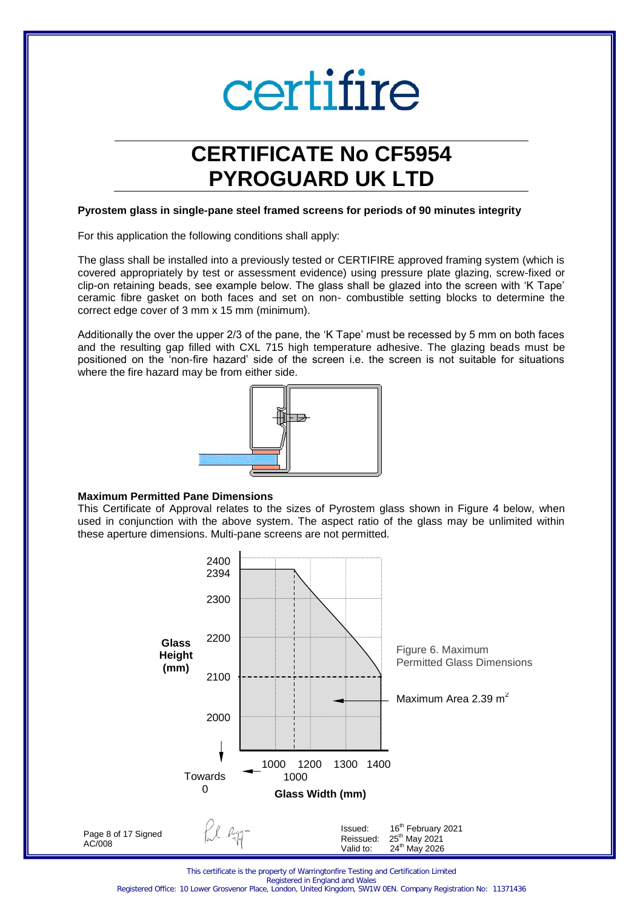## **CERTIFICATE No CF5954 PYROGUARD UK LTD**

#### **Pyrostem glass in single-pane steel framed screens for periods of 90 minutes integrity**

For this application the following conditions shall apply:

The glass shall be installed into a previously tested or CERTIFIRE approved framing system (which is covered appropriately by test or assessment evidence) using pressure plate glazing, screw-fixed or clip-on retaining beads, see example below. The glass shall be glazed into the screen with 'K Tape' ceramic fibre gasket on both faces and set on non- combustible setting blocks to determine the correct edge cover of 3 mm x 15 mm (minimum).

Additionally the over the upper 2/3 of the pane, the 'K Tape' must be recessed by 5 mm on both faces and the resulting gap filled with CXL 715 high temperature adhesive. The glazing beads must be positioned on the 'non-fire hazard' side of the screen i.e. the screen is not suitable for situations where the fire hazard may be from either side.



#### **Maximum Permitted Pane Dimensions**

This Certificate of Approval relates to the sizes of Pyrostem glass shown in Figure 4 below, when used in conjunction with the above system. The aspect ratio of the glass may be unlimited within these aperture dimensions. Multi-pane screens are not permitted.



This certificate is the property of Warringtonfire Testing and Certification Limited

Registered in England and Wales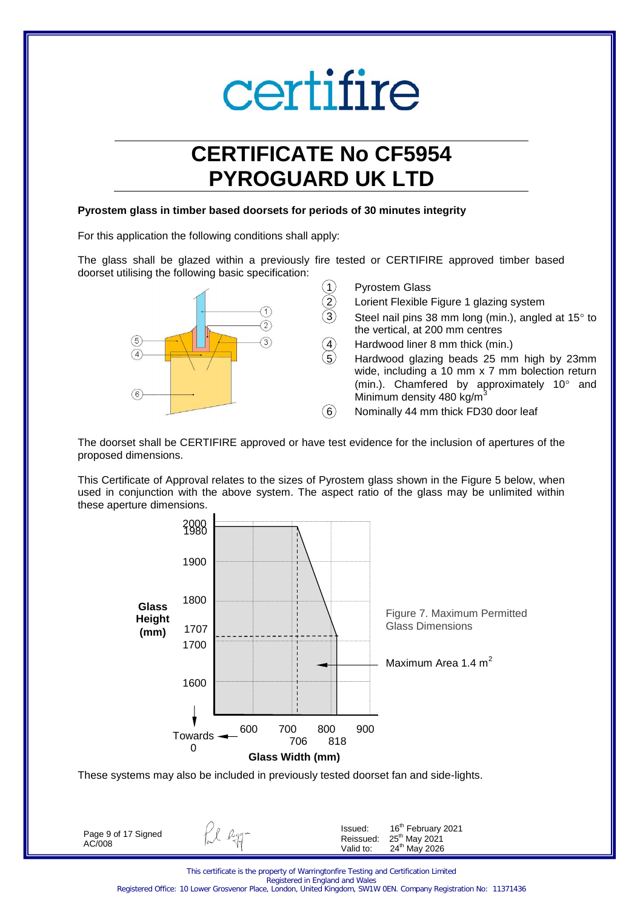## **CERTIFICATE No CF5954 PYROGUARD UK LTD**

#### **Pyrostem glass in timber based doorsets for periods of 30 minutes integrity**

For this application the following conditions shall apply:

The glass shall be glazed within a previously fire tested or CERTIFIRE approved timber based doorset utilising the following basic specification:



- Pyrostem Glass
- Lorient Flexible Figure 1 glazing system
- Steel nail pins 38 mm long (min.), angled at  $15^\circ$  to the vertical, at 200 mm centres
- Hardwood liner 8 mm thick (min.)

5 Hardwood glazing beads 25 mm high by 23mm wide, including a 10 mm x 7 mm bolection return (min.). Chamfered by approximately  $10^{\circ}$  and Minimum density 480 kg/m<sup>3</sup>

 $\overline{6}$  Nominally 44 mm thick FD30 door leaf

The doorset shall be CERTIFIRE approved or have test evidence for the inclusion of apertures of the proposed dimensions.

This Certificate of Approval relates to the sizes of Pyrostem glass shown in the Figure 5 below, when used in conjunction with the above system. The aspect ratio of the glass may be unlimited within these aperture dimensions.



These systems may also be included in previously tested doorset fan and side-lights.

Page 9 of 17 Signed AC/008

Ll agg-

Issued: 16<sup>th</sup> February 2021  $Reissued: 25<sup>th</sup>$  May 2021 Valid to: 24<sup>th</sup> May 2026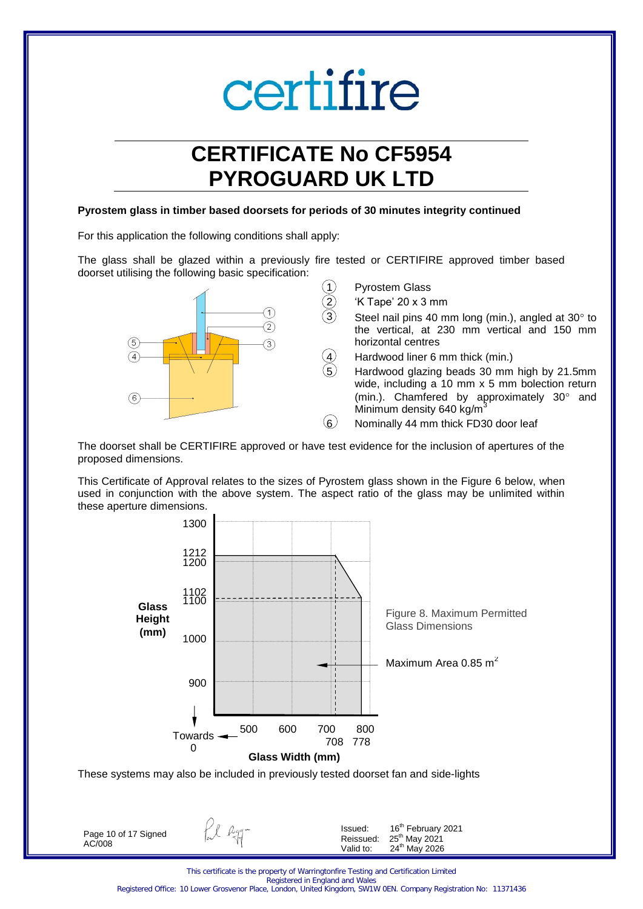## **CERTIFICATE No CF5954 PYROGUARD UK LTD**

#### **Pyrostem glass in timber based doorsets for periods of 30 minutes integrity continued**

For this application the following conditions shall apply:

The glass shall be glazed within a previously fire tested or CERTIFIRE approved timber based doorset utilising the following basic specification:



The doorset shall be CERTIFIRE approved or have test evidence for the inclusion of apertures of the proposed dimensions.

This Certificate of Approval relates to the sizes of Pyrostem glass shown in the Figure 6 below, when used in conjunction with the above system. The aspect ratio of the glass may be unlimited within these aperture dimensions.



Page 10 of 17 Signed AC/008

fil agg-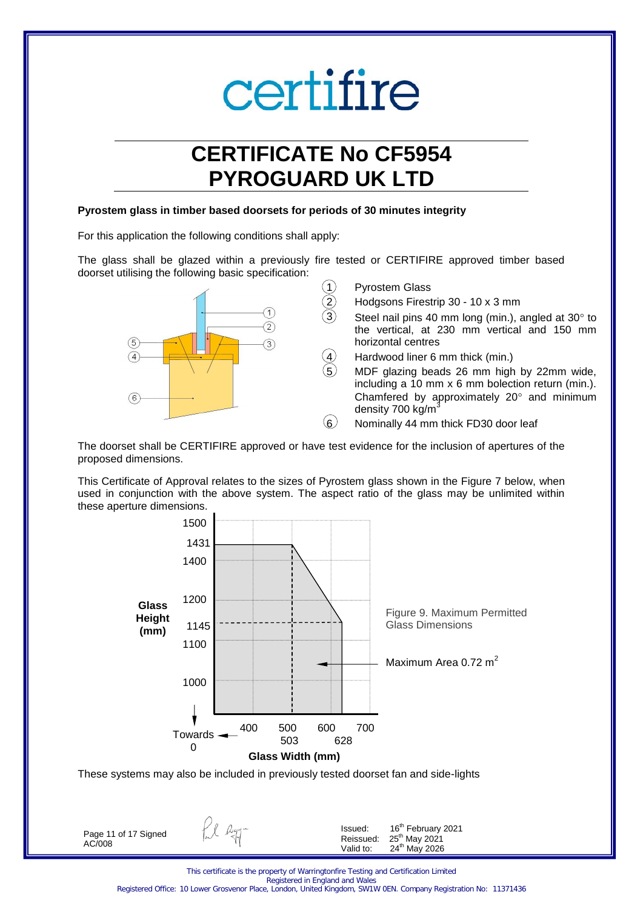## **CERTIFICATE No CF5954 PYROGUARD UK LTD**

#### **Pyrostem glass in timber based doorsets for periods of 30 minutes integrity**

For this application the following conditions shall apply:

The glass shall be glazed within a previously fire tested or CERTIFIRE approved timber based doorset utilising the following basic specification:



The doorset shall be CERTIFIRE approved or have test evidence for the inclusion of apertures of the proposed dimensions.

This Certificate of Approval relates to the sizes of Pyrostem glass shown in the Figure 7 below, when used in conjunction with the above system. The aspect ratio of the glass may be unlimited within these aperture dimensions.



These systems may also be included in previously tested doorset fan and side-lights

Page 11 of 17 Signed AC/008

fil agg-

Issued: 16<sup>th</sup> February 2021  $Reissued: 25<sup>th</sup>$  May 2021 Valid to: 24<sup>th</sup> May 2026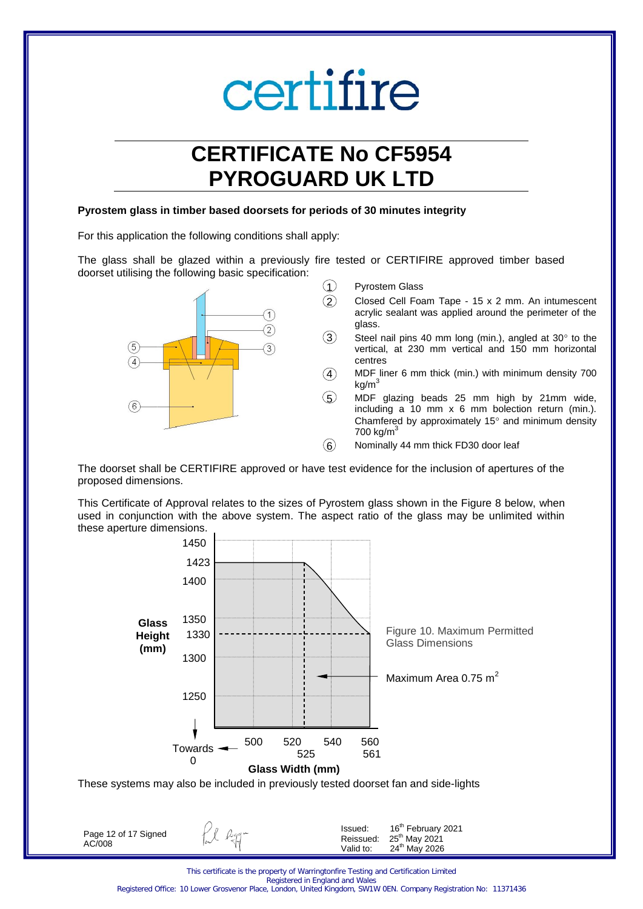## **CERTIFICATE No CF5954 PYROGUARD UK LTD**

#### **Pyrostem glass in timber based doorsets for periods of 30 minutes integrity**

For this application the following conditions shall apply:

The glass shall be glazed within a previously fire tested or CERTIFIRE approved timber based doorset utilising the following basic specification:



- $(1)$  Pyrostem Glass
	- 2 Closed Cell Foam Tape 15 x 2 mm. An intumescent acrylic sealant was applied around the perimeter of the glass.
- $3$  Steel nail pins 40 mm long (min.), angled at 30 $^{\circ}$  to the vertical, at 230 mm vertical and 150 mm horizontal centres
- $\overline{4}$  MDF liner 6 mm thick (min.) with minimum density 700  $kg/m<sup>3</sup>$
- 5 MDF glazing beads 25 mm high by 21mm wide, including a 10 mm x 6 mm bolection return (min.). Chamfered by approximately 15 $\degree$  and minimum density  $700 \text{ kg/m}^3$
- $(6)$  Nominally 44 mm thick FD30 door leaf

The doorset shall be CERTIFIRE approved or have test evidence for the inclusion of apertures of the proposed dimensions.

This Certificate of Approval relates to the sizes of Pyrostem glass shown in the Figure 8 below, when used in conjunction with the above system. The aspect ratio of the glass may be unlimited within these aperture dimensions.



Page 12 of 17 Signed AC/008

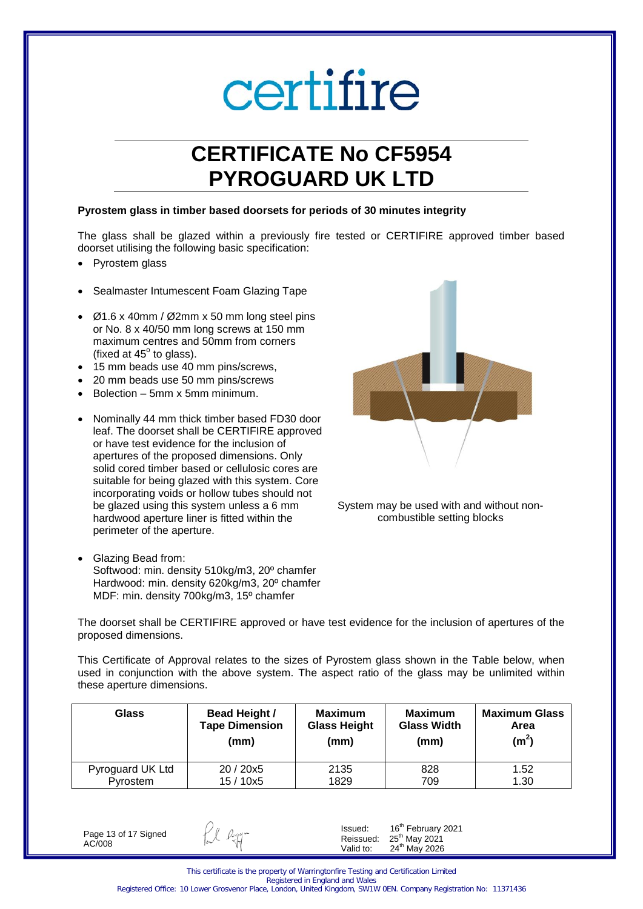## **CERTIFICATE No CF5954 PYROGUARD UK LTD**

#### **Pyrostem glass in timber based doorsets for periods of 30 minutes integrity**

The glass shall be glazed within a previously fire tested or CERTIFIRE approved timber based doorset utilising the following basic specification:

- Pyrostem glass
- Sealmaster Intumescent Foam Glazing Tape
- Ø1.6 x 40mm / Ø2mm x 50 mm long steel pins or No. 8 x 40/50 mm long screws at 150 mm maximum centres and 50mm from corners (fixed at  $45^\circ$  to glass).
- 15 mm beads use 40 mm pins/screws,
- 20 mm beads use 50 mm pins/screws
- Bolection 5mm x 5mm minimum.
- Nominally 44 mm thick timber based FD30 door leaf. The doorset shall be CERTIFIRE approved or have test evidence for the inclusion of apertures of the proposed dimensions. Only solid cored timber based or cellulosic cores are suitable for being glazed with this system. Core incorporating voids or hollow tubes should not be glazed using this system unless a 6 mm hardwood aperture liner is fitted within the perimeter of the aperture.
- Glazing Bead from: Softwood: min. density 510kg/m3, 20º chamfer Hardwood: min. density 620kg/m3, 20º chamfer MDF: min. density 700kg/m3, 15º chamfer



System may be used with and without noncombustible setting blocks

The doorset shall be CERTIFIRE approved or have test evidence for the inclusion of apertures of the proposed dimensions.

This Certificate of Approval relates to the sizes of Pyrostem glass shown in the Table below, when used in conjunction with the above system. The aspect ratio of the glass may be unlimited within these aperture dimensions.

| Glass            | <b>Bead Height /</b>  | <b>Maximum</b>      | <b>Maximum</b>     | <b>Maximum Glass</b> |
|------------------|-----------------------|---------------------|--------------------|----------------------|
|                  | <b>Tape Dimension</b> | <b>Glass Height</b> | <b>Glass Width</b> | Area                 |
|                  | (mm)                  | (mm)                | (mm)               | (m <sup>2</sup> )    |
| Pyroguard UK Ltd | 20/20x5               | 2135                | 828                | 1.52                 |
| Pyrostem         | 15 / 10x5             | 1829                | 709                | 1.30                 |

Page 13 of 17 Signed AC/008

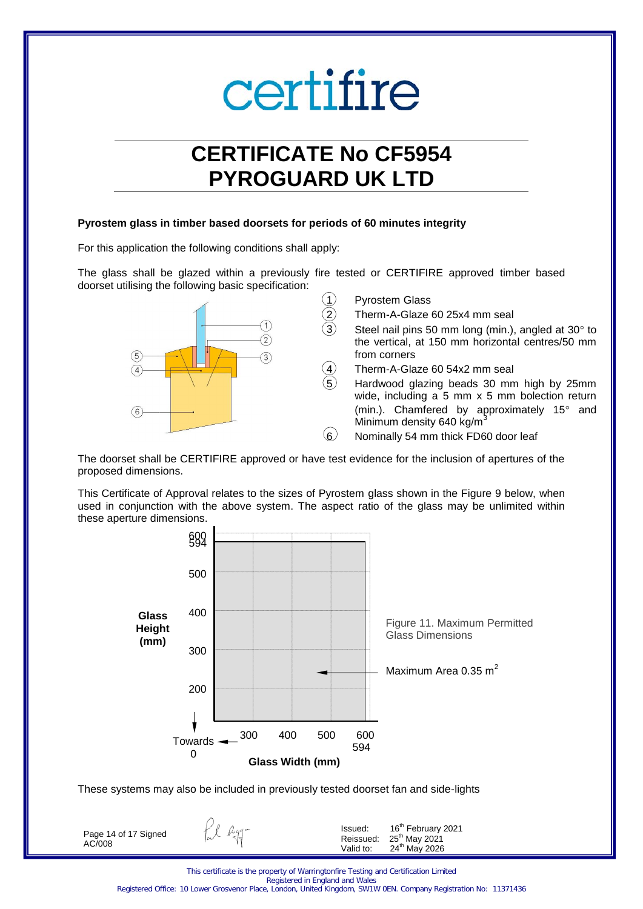## **CERTIFICATE No CF5954 PYROGUARD UK LTD**

### **Pyrostem glass in timber based doorsets for periods of 60 minutes integrity**

For this application the following conditions shall apply:

The glass shall be glazed within a previously fire tested or CERTIFIRE approved timber based doorset utilising the following basic specification:



Pyrostem Glass

- Therm-A-Glaze 60 25x4 mm seal
- Steel nail pins 50 mm long (min.), angled at  $30^\circ$  to the vertical, at 150 mm horizontal centres/50 mm from corners
- Therm-A-Glaze 60 54x2 mm seal
- 5 Hardwood glazing beads 30 mm high by 25mm wide, including a 5 mm x 5 mm bolection return (min.). Chamfered by approximately  $15^{\circ}$  and Minimum density 640 kg/m
- 6 Nominally 54 mm thick FD60 door leaf

The doorset shall be CERTIFIRE approved or have test evidence for the inclusion of apertures of the proposed dimensions.

This Certificate of Approval relates to the sizes of Pyrostem glass shown in the Figure 9 below, when used in conjunction with the above system. The aspect ratio of the glass may be unlimited within these aperture dimensions.



These systems may also be included in previously tested doorset fan and side-lights

Page 14 of 17 Signed AC/008

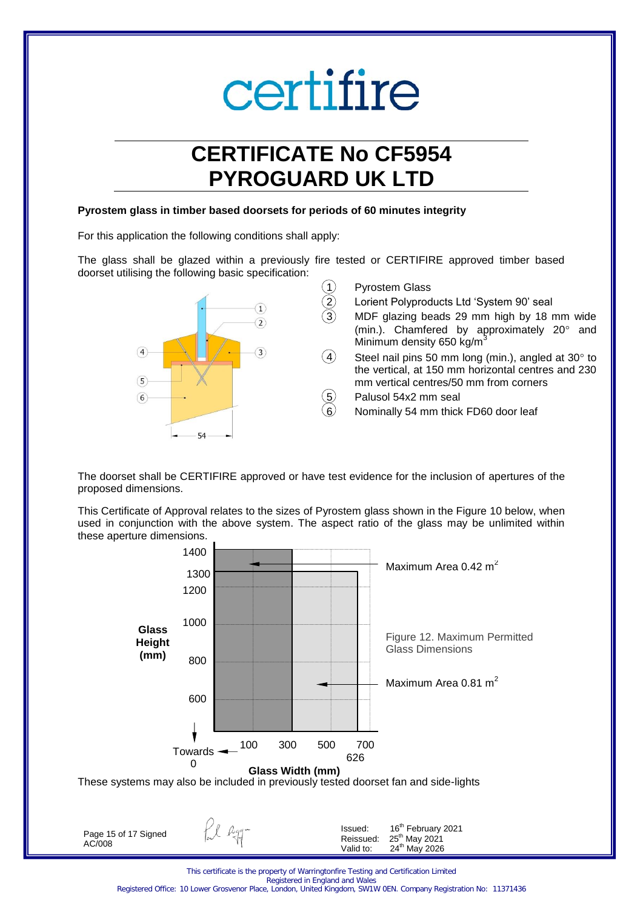## **CERTIFICATE No CF5954 PYROGUARD UK LTD**

#### **Pyrostem glass in timber based doorsets for periods of 60 minutes integrity**

For this application the following conditions shall apply:

The glass shall be glazed within a previously fire tested or CERTIFIRE approved timber based doorset utilising the following basic specification:



The doorset shall be CERTIFIRE approved or have test evidence for the inclusion of apertures of the proposed dimensions.

This Certificate of Approval relates to the sizes of Pyrostem glass shown in the Figure 10 below, when used in conjunction with the above system. The aspect ratio of the glass may be unlimited within these aperture dimensions.



Valid to:

24<sup>th</sup> May 2026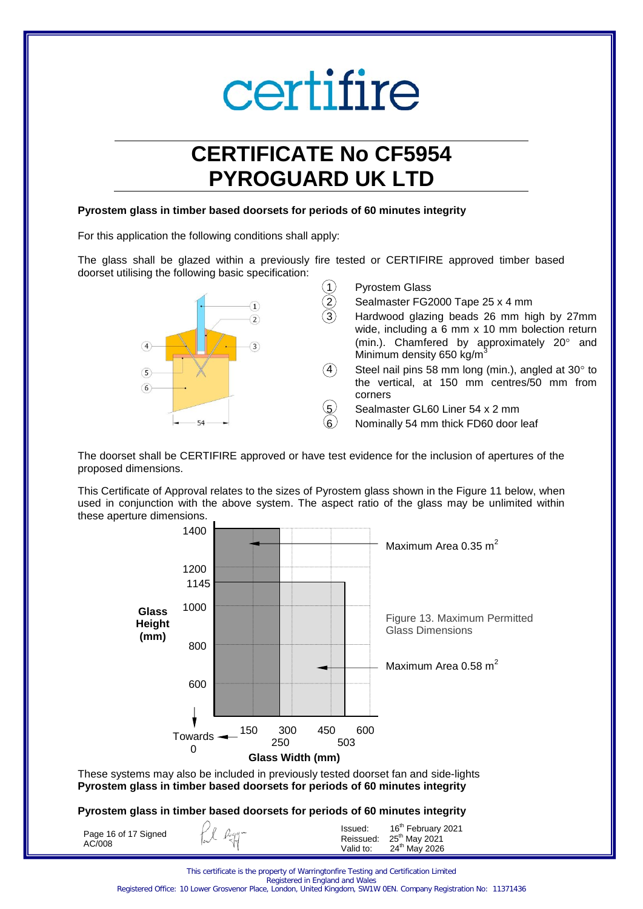## **CERTIFICATE No CF5954 PYROGUARD UK LTD**

#### **Pyrostem glass in timber based doorsets for periods of 60 minutes integrity**

For this application the following conditions shall apply:

The glass shall be glazed within a previously fire tested or CERTIFIRE approved timber based doorset utilising the following basic specification:



The doorset shall be CERTIFIRE approved or have test evidence for the inclusion of apertures of the proposed dimensions.

This Certificate of Approval relates to the sizes of Pyrostem glass shown in the Figure 11 below, when used in conjunction with the above system. The aspect ratio of the glass may be unlimited within these aperture dimensions.



These systems may also be included in previously tested doorset fan and side-lights **Pyrostem glass in timber based doorsets for periods of 60 minutes integrity** 

### **Pyrostem glass in timber based doorsets for periods of 60 minutes integrity**

| Page 16 of 17 Signed<br>AC/008 | $Hl$ $Rqq-$ | Issued:<br>Valid to: | 16 <sup>th</sup> February 2021<br>Reissued: 25 <sup>th</sup> May 2021<br>24 <sup>th</sup> May 2026 |
|--------------------------------|-------------|----------------------|----------------------------------------------------------------------------------------------------|
|--------------------------------|-------------|----------------------|----------------------------------------------------------------------------------------------------|